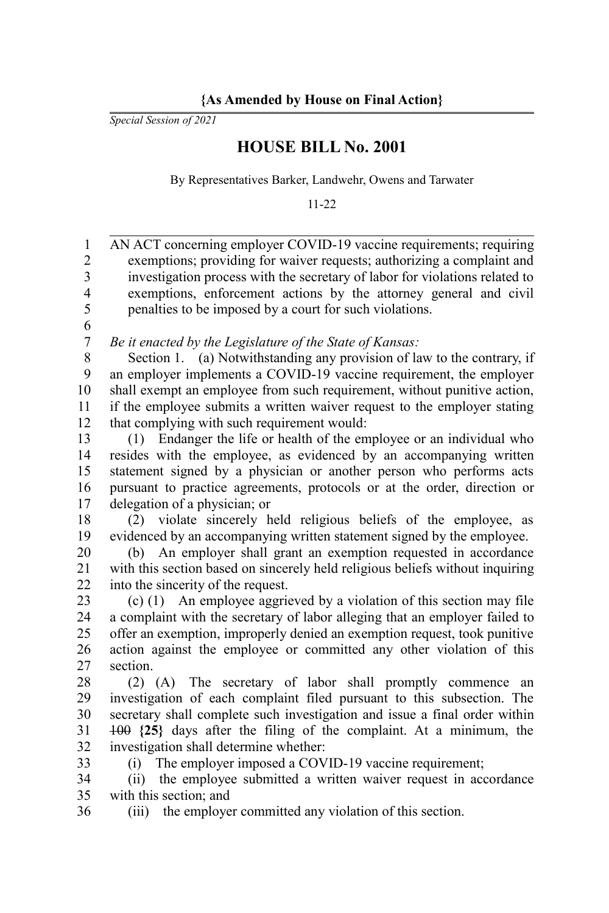*Special Session of 2021*

## **HOUSE BILL No. 2001**

By Representatives Barker, Landwehr, Owens and Tarwater

11-22

| $\,1$                   | AN ACT concerning employer COVID-19 vaccine requirements; requiring           |
|-------------------------|-------------------------------------------------------------------------------|
| $\overline{c}$          | exemptions; providing for waiver requests; authorizing a complaint and        |
| $\overline{\mathbf{3}}$ | investigation process with the secretary of labor for violations related to   |
| $\overline{\mathbf{4}}$ | exemptions, enforcement actions by the attorney general and civil             |
| 5                       | penalties to be imposed by a court for such violations.                       |
| 6                       |                                                                               |
| $\boldsymbol{7}$        | Be it enacted by the Legislature of the State of Kansas:                      |
| 8                       | Section 1. (a) Notwithstanding any provision of law to the contrary, if       |
| 9                       | an employer implements a COVID-19 vaccine requirement, the employer           |
| 10                      | shall exempt an employee from such requirement, without punitive action,      |
| 11                      | if the employee submits a written waiver request to the employer stating      |
| 12                      | that complying with such requirement would:                                   |
| 13                      | Endanger the life or health of the employee or an individual who<br>(1)       |
| 14                      | resides with the employee, as evidenced by an accompanying written            |
| 15                      | statement signed by a physician or another person who performs acts           |
| 16                      | pursuant to practice agreements, protocols or at the order, direction or      |
| 17                      | delegation of a physician; or                                                 |
| 18                      | violate sincerely held religious beliefs of the employee, as<br>(2)           |
| 19                      | evidenced by an accompanying written statement signed by the employee.        |
| 20                      | (b) An employer shall grant an exemption requested in accordance              |
| 21                      | with this section based on sincerely held religious beliefs without inquiring |
| 22                      | into the sincerity of the request.                                            |
| 23                      | $(c)$ (1) An employee aggrieved by a violation of this section may file       |
| 24                      | a complaint with the secretary of labor alleging that an employer failed to   |
| 25                      | offer an exemption, improperly denied an exemption request, took punitive     |
| 26                      | action against the employee or committed any other violation of this          |
| 27                      | section.                                                                      |
| 28                      | (2) (A) The secretary of labor shall promptly commence<br>an                  |
| 29                      | investigation of each complaint filed pursuant to this subsection. The        |
| 30                      | secretary shall complete such investigation and issue a final order within    |
| 31                      | $100$ $\{25\}$ days after the filing of the complaint. At a minimum, the      |
| 32                      | investigation shall determine whether:                                        |
| 33                      | The employer imposed a COVID-19 vaccine requirement;<br>(i)                   |
| 34                      | (ii) the employee submitted a written waiver request in accordance            |
| 35                      | with this section; and                                                        |
| 36                      | the employer committed any violation of this section.<br>(iii)                |
|                         |                                                                               |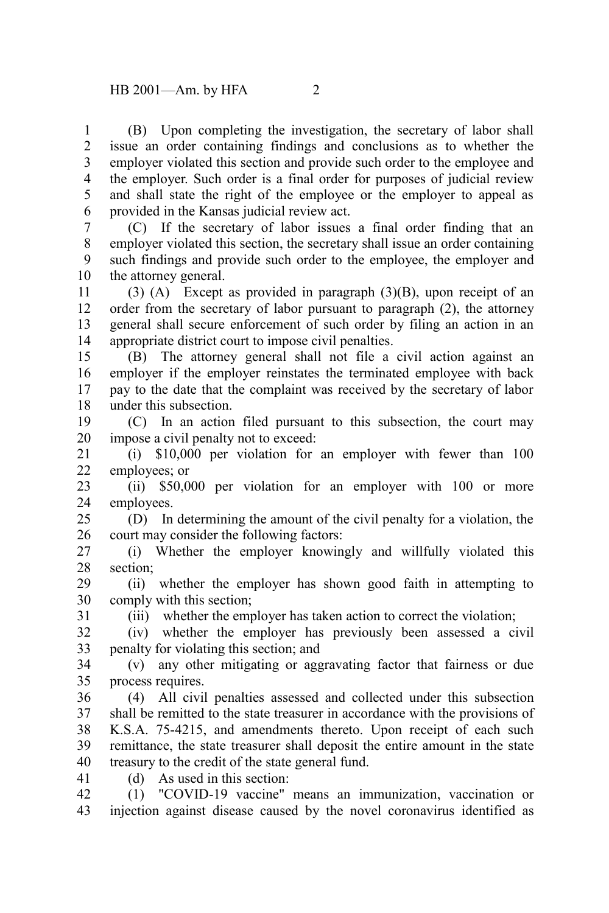(B) Upon completing the investigation, the secretary of labor shall issue an order containing findings and conclusions as to whether the employer violated this section and provide such order to the employee and the employer. Such order is a final order for purposes of judicial review and shall state the right of the employee or the employer to appeal as provided in the Kansas judicial review act. 1 2 3 4 5 6

(C) If the secretary of labor issues a final order finding that an employer violated this section, the secretary shall issue an order containing such findings and provide such order to the employee, the employer and the attorney general. 7 8 9 10

(3) (A) Except as provided in paragraph (3)(B), upon receipt of an order from the secretary of labor pursuant to paragraph (2), the attorney general shall secure enforcement of such order by filing an action in an appropriate district court to impose civil penalties. 11 12 13 14

(B) The attorney general shall not file a civil action against an employer if the employer reinstates the terminated employee with back pay to the date that the complaint was received by the secretary of labor under this subsection. 15 16 17 18

(C) In an action filed pursuant to this subsection, the court may impose a civil penalty not to exceed: 19 20

(i) \$10,000 per violation for an employer with fewer than 100 employees; or 21 22

(ii) \$50,000 per violation for an employer with 100 or more employees. 23 24

(D) In determining the amount of the civil penalty for a violation, the court may consider the following factors: 25 26

(i) Whether the employer knowingly and willfully violated this section; 27 28

(ii) whether the employer has shown good faith in attempting to comply with this section; 29 30

(iii) whether the employer has taken action to correct the violation;

(iv) whether the employer has previously been assessed a civil penalty for violating this section; and 32 33

(v) any other mitigating or aggravating factor that fairness or due process requires. 34 35

(4) All civil penalties assessed and collected under this subsection shall be remitted to the state treasurer in accordance with the provisions of K.S.A. 75-4215, and amendments thereto. Upon receipt of each such remittance, the state treasurer shall deposit the entire amount in the state treasury to the credit of the state general fund. 36 37 38 39 40

41

31

(d) As used in this section:

(1) "COVID-19 vaccine" means an immunization, vaccination or injection against disease caused by the novel coronavirus identified as 42 43